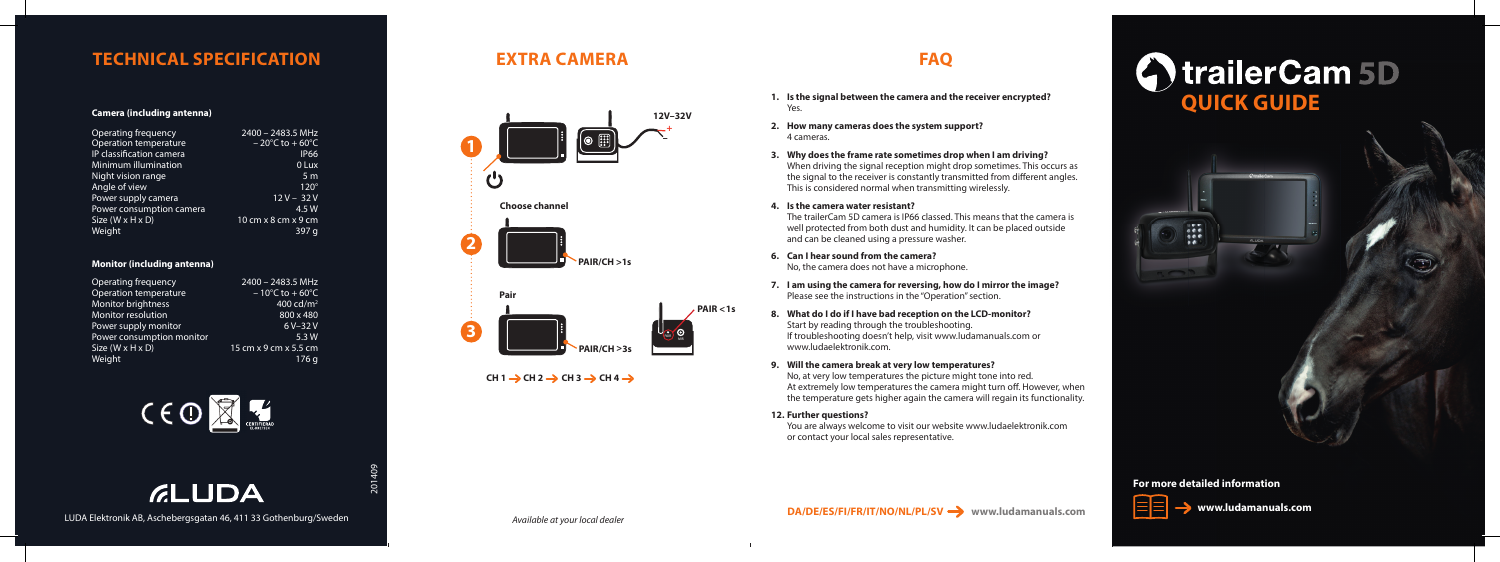**www.ludamanuals.com**

## **For more detailed information**







# **TECHNICAL SPECIFICATION EXTRA CAMERA FAQ**

### **Camera (including antenna)**

| Operating frequency          | $2400 - 2483.5$ MHz                |
|------------------------------|------------------------------------|
| Operation temperature        | $-20^{\circ}$ C to $+60^{\circ}$ C |
| IP classification camera     | <b>IP66</b>                        |
| Minimum illumination         | 0 Lux                              |
| Night vision range           | 5 <sub>m</sub>                     |
| Angle of view                | $120^\circ$                        |
| Power supply camera          | $12V - 32V$                        |
| Power consumption camera     | 4.5 W                              |
| Size $(W \times H \times D)$ | 10 cm x 8 cm x 9 cm                |
| Weight                       | 397 a                              |

### **Monitor (including antenna)**

| Operating frequency          | 2400 - 2483.5 MHz                  |
|------------------------------|------------------------------------|
| Operation temperature        | $-10^{\circ}$ C to $+60^{\circ}$ C |
| <b>Monitor brightness</b>    | 400 cd/ $m2$                       |
| Monitor resolution           | 800 x 480                          |
| Power supply monitor         | 6 V-32 V                           |
| Power consumption monitor    | 5.3W                               |
| Size $(W \times H \times D)$ | 15 cm x 9 cm x 5.5 cm              |
| Weight                       | 176 a                              |



LUDA Elektronik AB, Aschebergsgatan 46, 411 33 Gothenburg/Sweden

**GLUDA** 

- **1. Is the signal between the camera and the receiver encrypted?** Yes.
- **2. How many cameras does the system support?** 4 cameras.
- **3. Why does the frame rate sometimes drop when I am driving?** When driving the signal reception might drop sometimes. This occurs as the signal to the receiver is constantly transmitted from different angles. This is considered normal when transmitting wirelessly.
- **4. Is the camera water resistant?**

The trailerCam 5D camera is IP66 classed. This means that the camera is well protected from both dust and humidity. It can be placed outside and can be cleaned using a pressure washer.

**6. Can I hear sound from the camera?**

No, the camera does not have a microphone.

- **7. I am using the camera for reversing, how do I mirror the image?** Please see the instructions in the "Operation" section.
- **8. What do I do if I have bad reception on the LCD-monitor?** Start by reading through the troubleshooting. If troubleshooting doesn't help, visit www.ludamanuals.com or www.ludaelektronik.com.
- **9. Will the camera break at very low temperatures?**

No, at very low temperatures the picture might tone into red. At extremely low temperatures the camera might turn off. However, when the temperature gets higher again the camera will regain its functionality.

**12. Further questions?**

You are always welcome to visit our website www.ludaelektronik.com or contact your local sales representative.



 $CH 1 \rightarrow CH 2 \rightarrow CH 3 \rightarrow CH 4 \rightarrow$ 

*Available at your local dealer*

201409